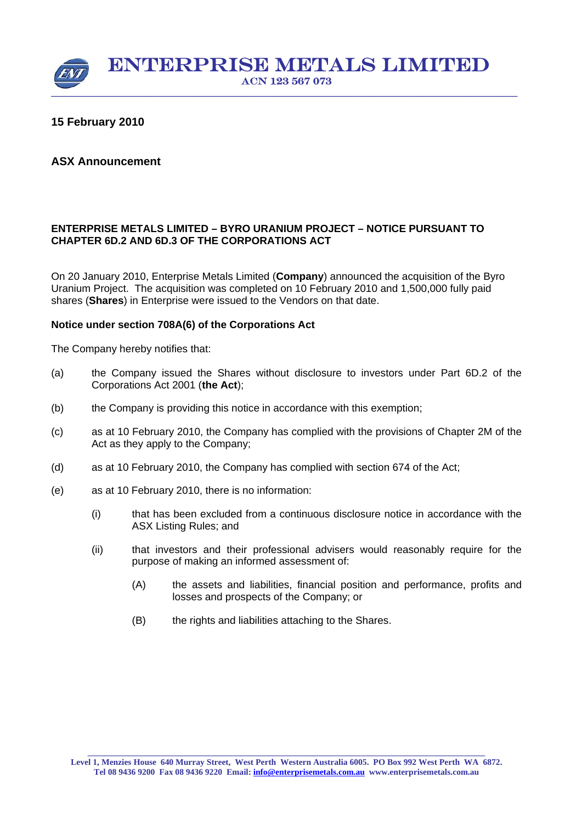

## **15 February 2010**

## **ASX Announcement**

### **ENTERPRISE METALS LIMITED – BYRO URANIUM PROJECT – NOTICE PURSUANT TO CHAPTER 6D.2 AND 6D.3 OF THE CORPORATIONS ACT**

On 20 January 2010, Enterprise Metals Limited (**Company**) announced the acquisition of the Byro Uranium Project. The acquisition was completed on 10 February 2010 and 1,500,000 fully paid shares (**Shares**) in Enterprise were issued to the Vendors on that date.

#### **Notice under section 708A(6) of the Corporations Act**

The Company hereby notifies that:

- (a) the Company issued the Shares without disclosure to investors under Part 6D.2 of the Corporations Act 2001 (**the Act**);
- (b) the Company is providing this notice in accordance with this exemption;
- (c) as at 10 February 2010, the Company has complied with the provisions of Chapter 2M of the Act as they apply to the Company;
- (d) as at 10 February 2010, the Company has complied with section 674 of the Act;
- (e) as at 10 February 2010, there is no information:
	- (i) that has been excluded from a continuous disclosure notice in accordance with the ASX Listing Rules; and
	- (ii) that investors and their professional advisers would reasonably require for the purpose of making an informed assessment of:
		- (A) the assets and liabilities, financial position and performance, profits and losses and prospects of the Company; or
		- (B) the rights and liabilities attaching to the Shares.